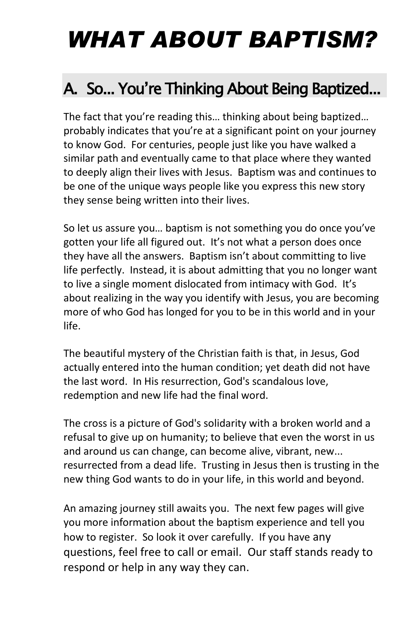# *WHAT ABOUT BAPTISM?*

### A. So... You're Thinking About Being Baptized...

The fact that you're reading this… thinking about being baptized… probably indicates that you're at a significant point on your journey to know God. For centuries, people just like you have walked a similar path and eventually came to that place where they wanted to deeply align their lives with Jesus. Baptism was and continues to be one of the unique ways people like you express this new story they sense being written into their lives.

So let us assure you… baptism is not something you do once you've gotten your life all figured out. It's not what a person does once they have all the answers. Baptism isn't about committing to live life perfectly. Instead, it is about admitting that you no longer want to live a single moment dislocated from intimacy with God. It's about realizing in the way you identify with Jesus, you are becoming more of who God has longed for you to be in this world and in your life.

The beautiful mystery of the Christian faith is that, in Jesus, God actually entered into the human condition; yet death did not have the last word. In His resurrection, God's scandalous love, redemption and new life had the final word.

The cross is a picture of God's solidarity with a broken world and a refusal to give up on humanity; to believe that even the worst in us and around us can change, can become alive, vibrant, new... resurrected from a dead life. Trusting in Jesus then is trusting in the new thing God wants to do in your life, in this world and beyond.

An amazing journey still awaits you. The next few pages will give you more information about the baptism experience and tell you how to register. So look it over carefully. If you have any questions, feel free to call or email. Our staff stands ready to respond or help in any way they can.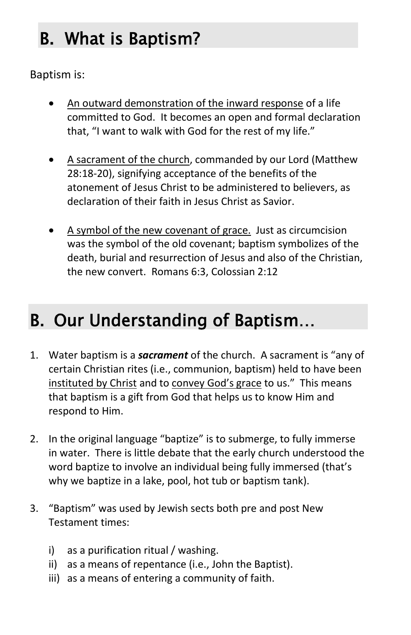# B. What is Baptism?

Baptism is:

- An outward demonstration of the inward response of a life committed to God. It becomes an open and formal declaration that, "I want to walk with God for the rest of my life."
- A sacrament of the church, commanded by our Lord (Matthew 28:18-20), signifying acceptance of the benefits of the atonement of Jesus Christ to be administered to believers, as declaration of their faith in Jesus Christ as Savior.
- A symbol of the new covenant of grace. Just as circumcision was the symbol of the old covenant; baptism symbolizes of the death, burial and resurrection of Jesus and also of the Christian, the new convert. Romans 6:3, Colossian 2:12

## B. Our Understanding of Baptism…

- 1. Water baptism is a *sacrament* of the church. A sacrament is "any of certain Christian rites (i.e., communion, baptism) held to have been instituted by Christ and to convey God's grace to us." This means that baptism is a gift from God that helps us to know Him and respond to Him.
- 2. In the original language "baptize" is to submerge, to fully immerse in water. There is little debate that the early church understood the word baptize to involve an individual being fully immersed (that's why we baptize in a lake, pool, hot tub or baptism tank).
- 3. "Baptism" was used by Jewish sects both pre and post New Testament times:
	- i) as a purification ritual / washing.
	- ii) as a means of repentance (i.e., John the Baptist).
	- iii) as a means of entering a community of faith.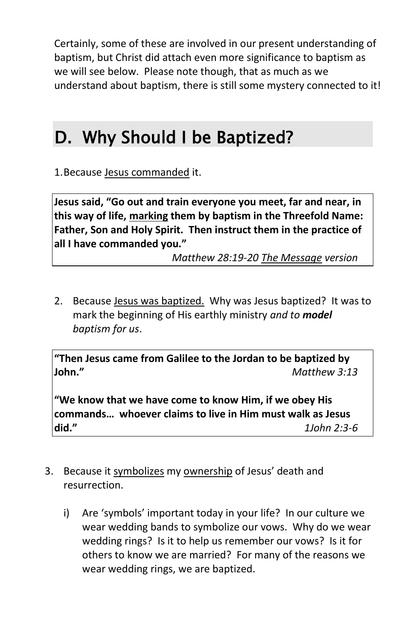Certainly, some of these are involved in our present understanding of baptism, but Christ did attach even more significance to baptism as we will see below. Please note though, that as much as we understand about baptism, there is still some mystery connected to it!

### D. Why Should I be Baptized?

1.Because Jesus commanded it.

**Jesus said, "Go out and train everyone you meet, far and near, in this way of life, marking them by baptism in the Threefold Name: Father, Son and Holy Spirit. Then instruct them in the practice of all I have commanded you."**

*Matthew 28:19-20 The Message version*

2. Because Jesus was baptized. Why was Jesus baptized? It was to mark the beginning of His earthly ministry *and to model baptism for us*.

**"Then Jesus came from Galilee to the Jordan to be baptized by John."** *Matthew 3:13*

**"We know that we have come to know Him, if we obey His commands… whoever claims to live in Him must walk as Jesus did."** *1John 2:3-6*

- 3. Because it symbolizes my ownership of Jesus' death and resurrection.
	- i) Are 'symbols' important today in your life? In our culture we wear wedding bands to symbolize our vows. Why do we wear wedding rings? Is it to help us remember our vows? Is it for others to know we are married? For many of the reasons we wear wedding rings, we are baptized.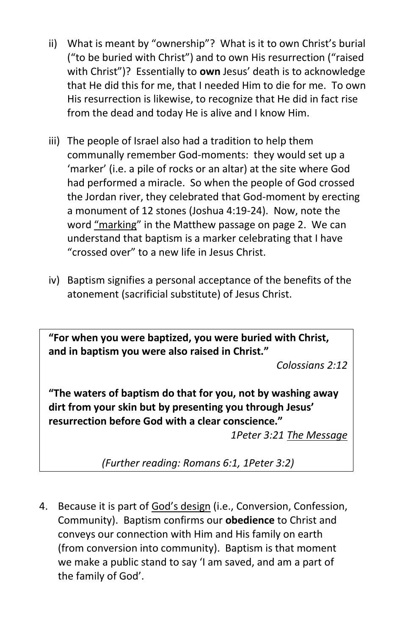- ii) What is meant by "ownership"? What is it to own Christ's burial ("to be buried with Christ") and to own His resurrection ("raised with Christ")? Essentially to **own** Jesus' death is to acknowledge that He did this for me, that I needed Him to die for me. To own His resurrection is likewise, to recognize that He did in fact rise from the dead and today He is alive and I know Him.
- iii) The people of Israel also had a tradition to help them communally remember God-moments: they would set up a 'marker' (i.e. a pile of rocks or an altar) at the site where God had performed a miracle. So when the people of God crossed the Jordan river, they celebrated that God-moment by erecting a monument of 12 stones (Joshua 4:19-24). Now, note the word "marking" in the Matthew passage on page 2. We can understand that baptism is a marker celebrating that I have "crossed over" to a new life in Jesus Christ.
- iv) Baptism signifies a personal acceptance of the benefits of the atonement (sacrificial substitute) of Jesus Christ.

**"For when you were baptized, you were buried with Christ, and in baptism you were also raised in Christ."**

*Colossians 2:12*

**"The waters of baptism do that for you, not by washing away dirt from your skin but by presenting you through Jesus' resurrection before God with a clear conscience."**

*1Peter 3:21 The Message*

*(Further reading: Romans 6:1, 1Peter 3:2)*

4. Because it is part of God's design (i.e., Conversion, Confession, Community). Baptism confirms our **obedience** to Christ and conveys our connection with Him and His family on earth (from conversion into community). Baptism is that moment we make a public stand to say 'I am saved, and am a part of the family of God'.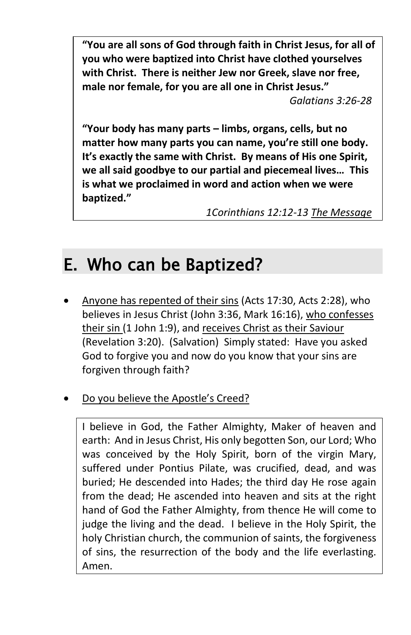**"You are all sons of God through faith in Christ Jesus, for all of you who were baptized into Christ have clothed yourselves with Christ. There is neither Jew nor Greek, slave nor free, male nor female, for you are all one in Christ Jesus."** 

*Galatians 3:26-28*

**"Your body has many parts – limbs, organs, cells, but no matter how many parts you can name, you're still one body. It's exactly the same with Christ. By means of His one Spirit, we all said goodbye to our partial and piecemeal lives… This is what we proclaimed in word and action when we were baptized."**

*1Corinthians 12:12-13 The Message*

### E. Who can be Baptized?

- Anyone has repented of their sins (Acts 17:30, Acts 2:28), who believes in Jesus Christ (John 3:36, Mark 16:16), who confesses their sin (1 John 1:9), and receives Christ as their Saviour (Revelation 3:20). (Salvation) Simply stated: Have you asked God to forgive you and now do you know that your sins are forgiven through faith?
- Do you believe the Apostle's Creed?

I believe in God, the Father Almighty, Maker of heaven and earth: And in Jesus Christ, His only begotten Son, our Lord; Who was conceived by the Holy Spirit, born of the virgin Mary, suffered under Pontius Pilate, was crucified, dead, and was buried; He descended into Hades; the third day He rose again from the dead; He ascended into heaven and sits at the right hand of God the Father Almighty, from thence He will come to judge the living and the dead. I believe in the Holy Spirit, the holy Christian church, the communion of saints, the forgiveness of sins, the resurrection of the body and the life everlasting. Amen.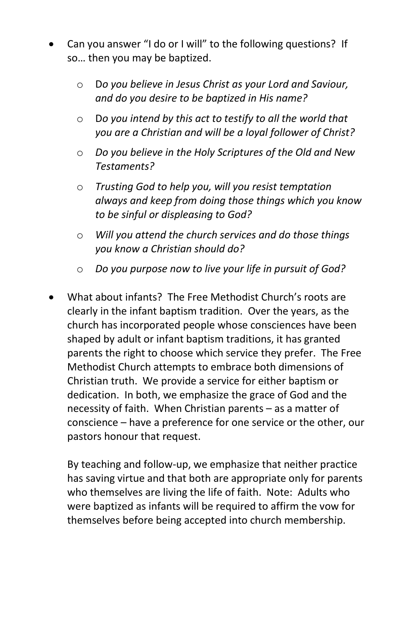- Can you answer "I do or I will" to the following questions? If so… then you may be baptized.
	- o D*o you believe in Jesus Christ as your Lord and Saviour, and do you desire to be baptized in His name?*
	- o D*o you intend by this act to testify to all the world that you are a Christian and will be a loyal follower of Christ?*
	- o *Do you believe in the Holy Scriptures of the Old and New Testaments?*
	- o *Trusting God to help you, will you resist temptation always and keep from doing those things which you know to be sinful or displeasing to God?*
	- o *Will you attend the church services and do those things you know a Christian should do?*
	- o *Do you purpose now to live your life in pursuit of God?*
- What about infants? The Free Methodist Church's roots are clearly in the infant baptism tradition. Over the years, as the church has incorporated people whose consciences have been shaped by adult or infant baptism traditions, it has granted parents the right to choose which service they prefer. The Free Methodist Church attempts to embrace both dimensions of Christian truth. We provide a service for either baptism or dedication. In both, we emphasize the grace of God and the necessity of faith. When Christian parents – as a matter of conscience – have a preference for one service or the other, our pastors honour that request.

By teaching and follow-up, we emphasize that neither practice has saving virtue and that both are appropriate only for parents who themselves are living the life of faith. Note: Adults who were baptized as infants will be required to affirm the vow for themselves before being accepted into church membership.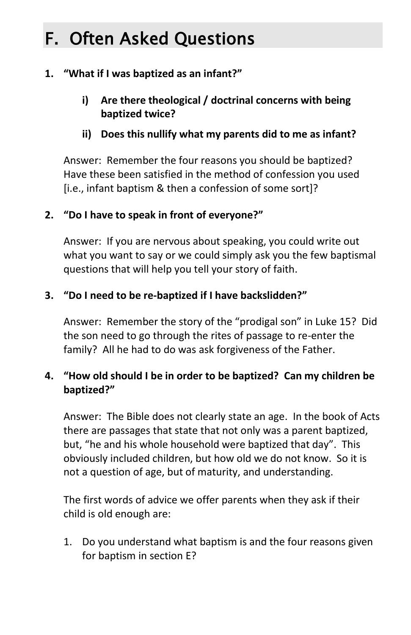# F. Often Asked Questions

#### **1. "What if I was baptized as an infant?"**

- **i) Are there theological / doctrinal concerns with being baptized twice?**
- **ii) Does this nullify what my parents did to me as infant?**

Answer: Remember the four reasons you should be baptized? Have these been satisfied in the method of confession you used [i.e., infant baptism & then a confession of some sort]?

#### **2. "Do I have to speak in front of everyone?"**

Answer: If you are nervous about speaking, you could write out what you want to say or we could simply ask you the few baptismal questions that will help you tell your story of faith.

#### **3. "Do I need to be re-baptized if I have backslidden?"**

Answer: Remember the story of the "prodigal son" in Luke 15? Did the son need to go through the rites of passage to re-enter the family? All he had to do was ask forgiveness of the Father.

#### **4. "How old should I be in order to be baptized? Can my children be baptized?"**

Answer: The Bible does not clearly state an age. In the book of Acts there are passages that state that not only was a parent baptized, but, "he and his whole household were baptized that day". This obviously included children, but how old we do not know. So it is not a question of age, but of maturity, and understanding.

The first words of advice we offer parents when they ask if their child is old enough are:

1. Do you understand what baptism is and the four reasons given for baptism in section E?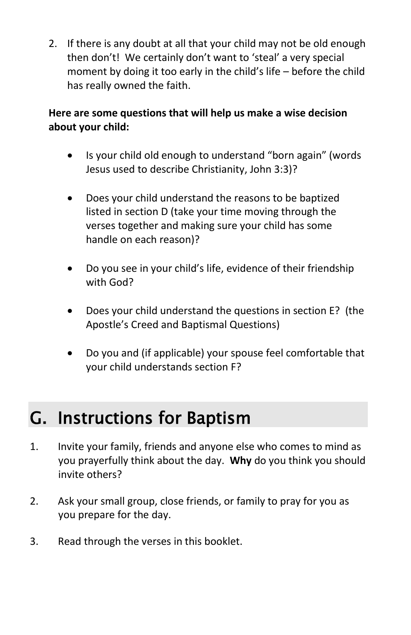2. If there is any doubt at all that your child may not be old enough then don't! We certainly don't want to 'steal' a very special moment by doing it too early in the child's life – before the child has really owned the faith.

#### **Here are some questions that will help us make a wise decision about your child:**

- Is your child old enough to understand "born again" (words Jesus used to describe Christianity, John 3:3)?
- Does your child understand the reasons to be baptized listed in section D (take your time moving through the verses together and making sure your child has some handle on each reason)?
- Do you see in your child's life, evidence of their friendship with God?
- Does your child understand the questions in section E? (the Apostle's Creed and Baptismal Questions)
- Do you and (if applicable) your spouse feel comfortable that your child understands section F?

### G. Instructions for Baptism

- 1. Invite your family, friends and anyone else who comes to mind as you prayerfully think about the day. **Why** do you think you should invite others?
- 2. Ask your small group, close friends, or family to pray for you as you prepare for the day.
- 3. Read through the verses in this booklet.